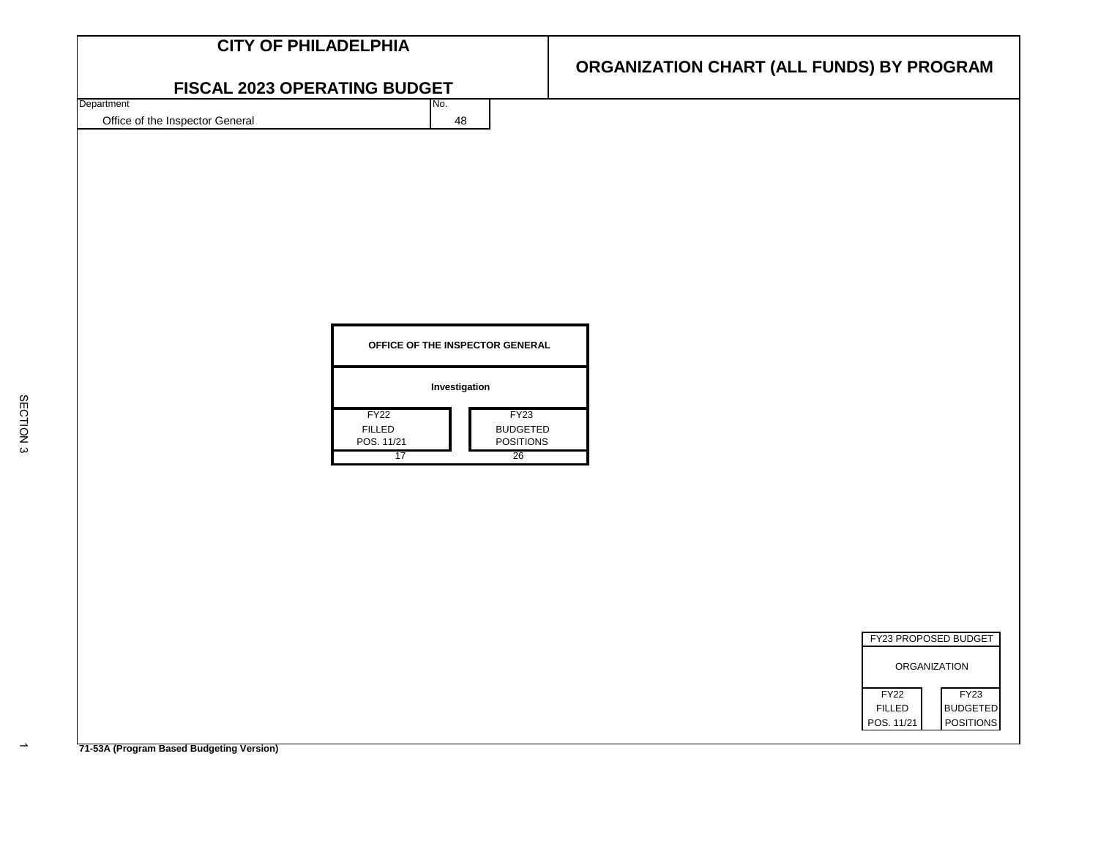| FISCAL 2023 OPERATING BUDGET<br>Department<br>No.<br>Office of the Inspector General<br>48<br>OFFICE OF THE INSPECTOR GENERAL<br>Investigation<br>FY <sub>22</sub><br>FY <sub>23</sub> | <b>CITY OF PHILADELPHIA</b> |                                           |  |
|----------------------------------------------------------------------------------------------------------------------------------------------------------------------------------------|-----------------------------|-------------------------------------------|--|
|                                                                                                                                                                                        |                             | ORGANIZATION CHART (ALL FUNDS) BY PROGRAM |  |
|                                                                                                                                                                                        |                             |                                           |  |
|                                                                                                                                                                                        |                             |                                           |  |
| FILLED<br><b>BUDGETED</b><br>POS. 11/21<br><b>POSITIONS</b><br>17<br>26<br>ORGANIZATION<br>FY <sub>22</sub><br><b>FY23</b><br><b>FILLED</b>                                            |                             | FY23 PROPOSED BUDGET<br><b>BUDGETED</b>   |  |

**71-53A (Program Based Budgeting Version)**

 $\rightarrow$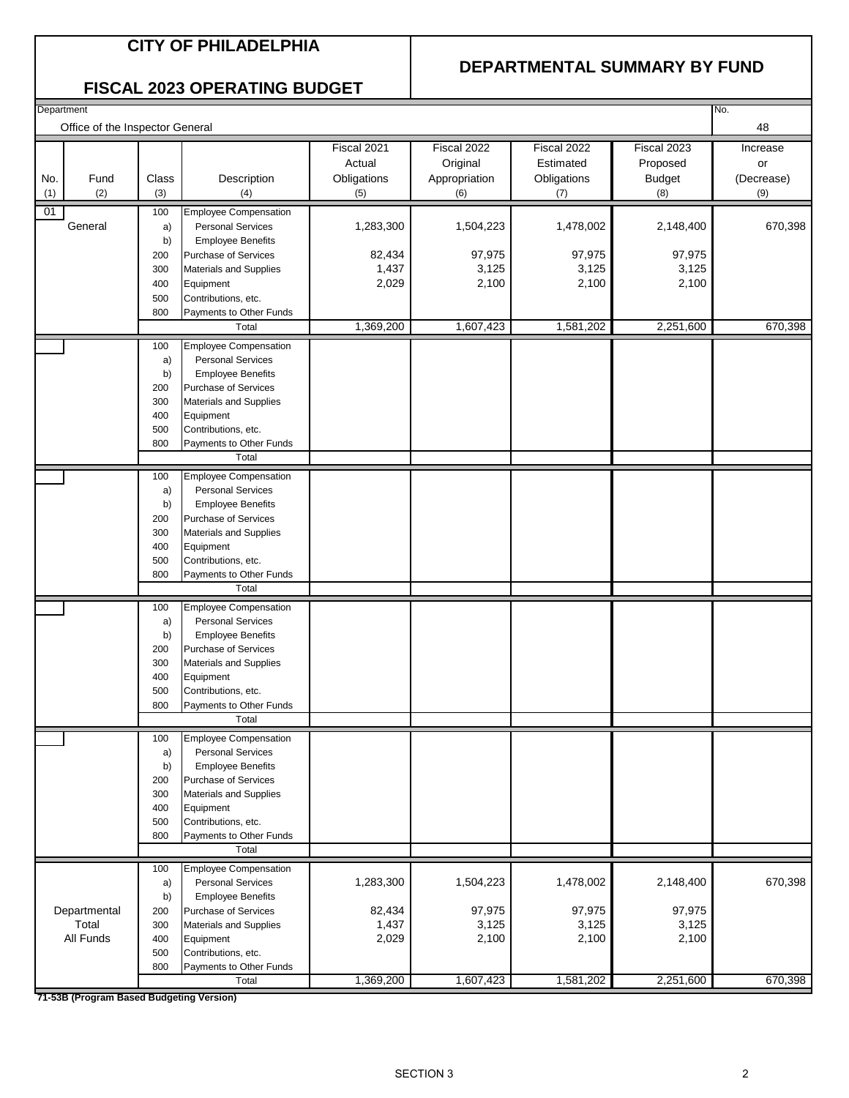#### **CITY OF PHILADELPHIA**

#### **DEPARTMENTAL SUMMARY BY FUND**

#### **FISCAL 2023 OPERATING BUDGET**

| Department                      |              |                                                         |                                             |                                                 |                                                |                                                 | No.                                 |
|---------------------------------|--------------|---------------------------------------------------------|---------------------------------------------|-------------------------------------------------|------------------------------------------------|-------------------------------------------------|-------------------------------------|
| Office of the Inspector General |              |                                                         |                                             |                                                 |                                                |                                                 | 48                                  |
| No.<br>Fund<br>(1)<br>(2)       | Class<br>(3) | Description<br>(4)                                      | Fiscal 2021<br>Actual<br>Obligations<br>(5) | Fiscal 2022<br>Original<br>Appropriation<br>(6) | Fiscal 2022<br>Estimated<br>Obligations<br>(7) | Fiscal 2023<br>Proposed<br><b>Budget</b><br>(8) | Increase<br>or<br>(Decrease)<br>(9) |
| 01                              | 100          | <b>Employee Compensation</b>                            |                                             |                                                 |                                                |                                                 |                                     |
| General                         | a)           | <b>Personal Services</b>                                | 1,283,300                                   | 1,504,223                                       | 1,478,002                                      | 2,148,400                                       | 670,398                             |
|                                 | b)           | <b>Employee Benefits</b>                                |                                             |                                                 |                                                |                                                 |                                     |
|                                 | 200          | Purchase of Services                                    | 82,434                                      | 97,975                                          | 97,975                                         | 97,975                                          |                                     |
|                                 | 300          | <b>Materials and Supplies</b>                           | 1,437                                       | 3,125                                           | 3,125                                          | 3,125                                           |                                     |
|                                 | 400          | Equipment                                               | 2,029                                       | 2,100                                           | 2,100                                          | 2,100                                           |                                     |
|                                 | 500<br>800   | Contributions, etc.<br>Payments to Other Funds          |                                             |                                                 |                                                |                                                 |                                     |
|                                 |              | Total                                                   | 1,369,200                                   | 1,607,423                                       | 1,581,202                                      | 2,251,600                                       | 670,398                             |
|                                 | 100          | <b>Employee Compensation</b>                            |                                             |                                                 |                                                |                                                 |                                     |
|                                 | a)           | <b>Personal Services</b>                                |                                             |                                                 |                                                |                                                 |                                     |
|                                 | b)           | <b>Employee Benefits</b>                                |                                             |                                                 |                                                |                                                 |                                     |
|                                 | 200          | Purchase of Services                                    |                                             |                                                 |                                                |                                                 |                                     |
|                                 | 300          | Materials and Supplies                                  |                                             |                                                 |                                                |                                                 |                                     |
|                                 | 400          | Equipment                                               |                                             |                                                 |                                                |                                                 |                                     |
|                                 | 500<br>800   | Contributions, etc.<br>Payments to Other Funds          |                                             |                                                 |                                                |                                                 |                                     |
|                                 |              | Total                                                   |                                             |                                                 |                                                |                                                 |                                     |
|                                 | 100          | <b>Employee Compensation</b>                            |                                             |                                                 |                                                |                                                 |                                     |
|                                 | a)           | <b>Personal Services</b>                                |                                             |                                                 |                                                |                                                 |                                     |
|                                 | b)           | <b>Employee Benefits</b>                                |                                             |                                                 |                                                |                                                 |                                     |
|                                 | 200          | Purchase of Services                                    |                                             |                                                 |                                                |                                                 |                                     |
|                                 | 300          | Materials and Supplies                                  |                                             |                                                 |                                                |                                                 |                                     |
|                                 | 400<br>500   | Equipment<br>Contributions, etc.                        |                                             |                                                 |                                                |                                                 |                                     |
|                                 | 800          | Payments to Other Funds                                 |                                             |                                                 |                                                |                                                 |                                     |
|                                 |              | Total                                                   |                                             |                                                 |                                                |                                                 |                                     |
|                                 | 100          | <b>Employee Compensation</b>                            |                                             |                                                 |                                                |                                                 |                                     |
|                                 | a)           | <b>Personal Services</b>                                |                                             |                                                 |                                                |                                                 |                                     |
|                                 | b)           | <b>Employee Benefits</b>                                |                                             |                                                 |                                                |                                                 |                                     |
|                                 | 200          | <b>Purchase of Services</b>                             |                                             |                                                 |                                                |                                                 |                                     |
|                                 | 300<br>400   | Materials and Supplies<br>Equipment                     |                                             |                                                 |                                                |                                                 |                                     |
|                                 | 500          | Contributions, etc.                                     |                                             |                                                 |                                                |                                                 |                                     |
|                                 | 800          | Payments to Other Funds                                 |                                             |                                                 |                                                |                                                 |                                     |
|                                 |              | Total                                                   |                                             |                                                 |                                                |                                                 |                                     |
|                                 | 100          | <b>Employee Compensation</b>                            |                                             |                                                 |                                                |                                                 |                                     |
|                                 | a)           | <b>Personal Services</b>                                |                                             |                                                 |                                                |                                                 |                                     |
|                                 | b)<br>200    | <b>Employee Benefits</b><br><b>Purchase of Services</b> |                                             |                                                 |                                                |                                                 |                                     |
|                                 | 300          | Materials and Supplies                                  |                                             |                                                 |                                                |                                                 |                                     |
|                                 | 400          | Equipment                                               |                                             |                                                 |                                                |                                                 |                                     |
|                                 | 500          | Contributions, etc.                                     |                                             |                                                 |                                                |                                                 |                                     |
|                                 | 800          | Payments to Other Funds                                 |                                             |                                                 |                                                |                                                 |                                     |
|                                 |              | Total                                                   |                                             |                                                 |                                                |                                                 |                                     |
|                                 | 100          | <b>Employee Compensation</b>                            |                                             |                                                 |                                                |                                                 |                                     |
|                                 | a)<br>b)     | <b>Personal Services</b><br><b>Employee Benefits</b>    | 1,283,300                                   | 1,504,223                                       | 1,478,002                                      | 2,148,400                                       | 670,398                             |
| Departmental                    | 200          | Purchase of Services                                    | 82,434                                      | 97,975                                          | 97,975                                         | 97,975                                          |                                     |
| Total                           | 300          | Materials and Supplies                                  | 1,437                                       | 3,125                                           | 3,125                                          | 3,125                                           |                                     |
| All Funds                       | 400          | Equipment                                               | 2,029                                       | 2,100                                           | 2,100                                          | 2,100                                           |                                     |
|                                 | 500          | Contributions, etc.                                     |                                             |                                                 |                                                |                                                 |                                     |
|                                 | 800          | Payments to Other Funds<br>Total                        | 1,369,200                                   | 1,607,423                                       | 1,581,202                                      | 2,251,600                                       | 670,398                             |
| 74.50D/D <sub>2</sub>           |              |                                                         |                                             |                                                 |                                                |                                                 |                                     |

**71-53B (Program Based Budgeting Version)**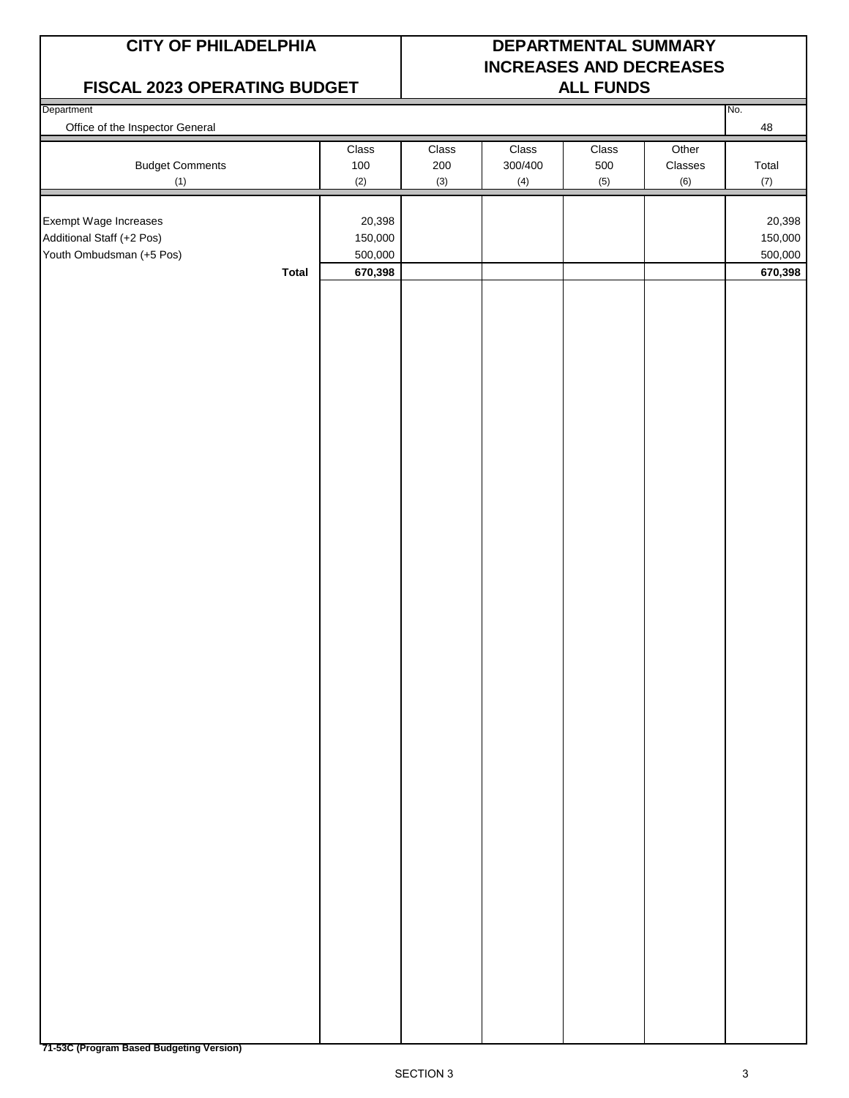#### **FISCAL 2023 OPERATING BUDGET ALL FUNDS**

## **CITY OF PHILADELPHIA DEPARTMENTAL SUMMARY INCREASES AND DECREASES**

| <b>FIJUAL ZUZJ UFLINATING DUDULT</b> |                         |       |         | <b>ALL FUNDS</b> |         |         |
|--------------------------------------|-------------------------|-------|---------|------------------|---------|---------|
| Department                           |                         |       |         |                  |         | No.     |
| Office of the Inspector General      |                         |       |         |                  |         | 48      |
|                                      | Class                   | Class | Class   | Class            | Other   |         |
| <b>Budget Comments</b>               | 100                     | 200   | 300/400 | 500              | Classes | Total   |
| (1)                                  | (2)                     | (3)   | (4)     | (5)              | (6)     | (7)     |
|                                      |                         |       |         |                  |         |         |
| Exempt Wage Increases                | 20,398                  |       |         |                  |         | 20,398  |
| Additional Staff (+2 Pos)            | 150,000                 |       |         |                  |         | 150,000 |
| Youth Ombudsman (+5 Pos)             | 500,000                 |       |         |                  |         | 500,000 |
|                                      | <b>Total</b><br>670,398 |       |         |                  |         | 670,398 |
|                                      |                         |       |         |                  |         |         |
|                                      |                         |       |         |                  |         |         |
|                                      |                         |       |         |                  |         |         |
|                                      |                         |       |         |                  |         |         |
|                                      |                         |       |         |                  |         |         |
|                                      |                         |       |         |                  |         |         |
|                                      |                         |       |         |                  |         |         |
|                                      |                         |       |         |                  |         |         |
|                                      |                         |       |         |                  |         |         |
|                                      |                         |       |         |                  |         |         |
|                                      |                         |       |         |                  |         |         |
|                                      |                         |       |         |                  |         |         |
|                                      |                         |       |         |                  |         |         |
|                                      |                         |       |         |                  |         |         |
|                                      |                         |       |         |                  |         |         |
|                                      |                         |       |         |                  |         |         |
|                                      |                         |       |         |                  |         |         |
|                                      |                         |       |         |                  |         |         |
|                                      |                         |       |         |                  |         |         |
|                                      |                         |       |         |                  |         |         |
|                                      |                         |       |         |                  |         |         |
|                                      |                         |       |         |                  |         |         |
|                                      |                         |       |         |                  |         |         |
|                                      |                         |       |         |                  |         |         |
|                                      |                         |       |         |                  |         |         |
|                                      |                         |       |         |                  |         |         |
|                                      |                         |       |         |                  |         |         |
|                                      |                         |       |         |                  |         |         |
|                                      |                         |       |         |                  |         |         |
|                                      |                         |       |         |                  |         |         |
|                                      |                         |       |         |                  |         |         |
|                                      |                         |       |         |                  |         |         |
|                                      |                         |       |         |                  |         |         |
|                                      |                         |       |         |                  |         |         |
|                                      |                         |       |         |                  |         |         |
|                                      |                         |       |         |                  |         |         |
|                                      |                         |       |         |                  |         |         |
|                                      |                         |       |         |                  |         |         |
|                                      |                         |       |         |                  |         |         |
|                                      |                         |       |         |                  |         |         |
|                                      |                         |       |         |                  |         |         |
|                                      |                         |       |         |                  |         |         |
|                                      |                         |       |         |                  |         |         |
|                                      |                         |       |         |                  |         |         |
|                                      |                         |       |         |                  |         |         |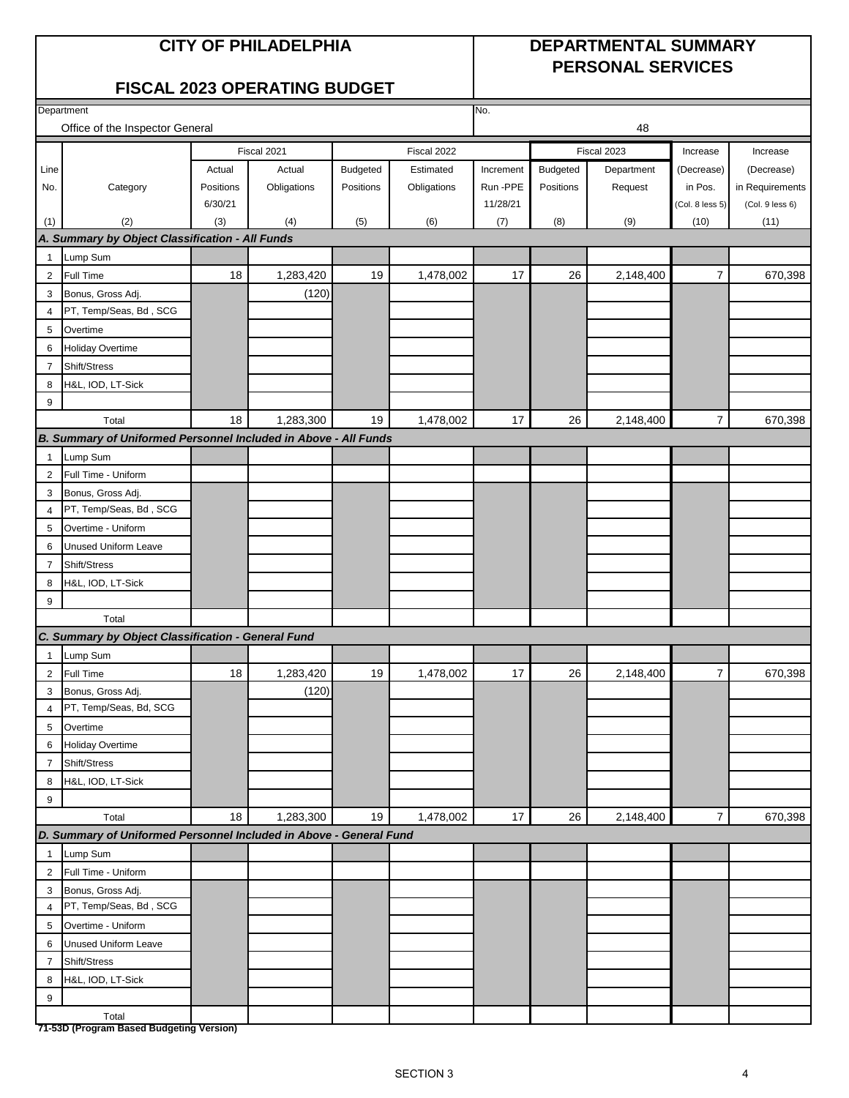#### **CITY OF PHILADELPHIA DEPARTMENTAL SUMMARY PERSONAL SERVICES**

### **FISCAL 2023 OPERATING BUDGET**

|                | Department<br>No.                                                  |           |             |                 |             |           |           |             |                 |                 |
|----------------|--------------------------------------------------------------------|-----------|-------------|-----------------|-------------|-----------|-----------|-------------|-----------------|-----------------|
|                | Office of the Inspector General                                    |           |             |                 |             |           |           | 48          |                 |                 |
|                |                                                                    |           | Fiscal 2021 |                 | Fiscal 2022 |           |           | Fiscal 2023 | Increase        | Increase        |
| Line           |                                                                    | Actual    | Actual      | <b>Budgeted</b> | Estimated   | Increment | Budgeted  | Department  | (Decrease)      | (Decrease)      |
| No.            | Category                                                           | Positions | Obligations | Positions       | Obligations | Run -PPE  | Positions | Request     | in Pos.         | in Requirements |
|                |                                                                    | 6/30/21   |             |                 |             | 11/28/21  |           |             | (Col. 8 less 5) | (Col. 9 less 6) |
| (1)            | (2)                                                                | (3)       | (4)         | (5)             | (6)         | (7)       | (8)       | (9)         | (10)            | (11)            |
|                | A. Summary by Object Classification - All Funds                    |           |             |                 |             |           |           |             |                 |                 |
| $\mathbf{1}$   | Lump Sum                                                           |           |             |                 |             |           |           |             |                 |                 |
| $\overline{2}$ | Full Time                                                          | 18        | 1,283,420   | 19              | 1,478,002   | 17        | 26        | 2,148,400   | $\overline{7}$  | 670,398         |
| 3              | Bonus, Gross Adj.                                                  |           | (120)       |                 |             |           |           |             |                 |                 |
| 4              | PT, Temp/Seas, Bd, SCG                                             |           |             |                 |             |           |           |             |                 |                 |
| 5              | Overtime                                                           |           |             |                 |             |           |           |             |                 |                 |
| 6              | Holiday Overtime                                                   |           |             |                 |             |           |           |             |                 |                 |
| 7              | Shift/Stress                                                       |           |             |                 |             |           |           |             |                 |                 |
| 8              | H&L, IOD, LT-Sick                                                  |           |             |                 |             |           |           |             |                 |                 |
| 9              |                                                                    |           |             |                 |             |           |           |             |                 |                 |
|                | Total                                                              | 18        | 1,283,300   | 19              | 1,478,002   | 17        | 26        | 2,148,400   | $\overline{7}$  | 670,398         |
|                | B. Summary of Uniformed Personnel Included in Above - All Funds    |           |             |                 |             |           |           |             |                 |                 |
| $\mathbf{1}$   | Lump Sum                                                           |           |             |                 |             |           |           |             |                 |                 |
| 2              | Full Time - Uniform                                                |           |             |                 |             |           |           |             |                 |                 |
| 3              | Bonus, Gross Adj.                                                  |           |             |                 |             |           |           |             |                 |                 |
| 4              | PT, Temp/Seas, Bd, SCG                                             |           |             |                 |             |           |           |             |                 |                 |
| 5              | Overtime - Uniform                                                 |           |             |                 |             |           |           |             |                 |                 |
| 6              | <b>Unused Uniform Leave</b>                                        |           |             |                 |             |           |           |             |                 |                 |
| $\overline{7}$ | Shift/Stress                                                       |           |             |                 |             |           |           |             |                 |                 |
| 8              | H&L, IOD, LT-Sick                                                  |           |             |                 |             |           |           |             |                 |                 |
| 9              |                                                                    |           |             |                 |             |           |           |             |                 |                 |
|                | Total                                                              |           |             |                 |             |           |           |             |                 |                 |
|                | C. Summary by Object Classification - General Fund                 |           |             |                 |             |           |           |             |                 |                 |
| $\mathbf{1}$   | Lump Sum                                                           |           |             |                 |             |           |           |             |                 |                 |
| $\overline{2}$ | Full Time                                                          | 18        | 1,283,420   | 19              | 1,478,002   | 17        | 26        | 2,148,400   | $\overline{7}$  | 670,398         |
| 3              | Bonus, Gross Adj.                                                  |           | (120)       |                 |             |           |           |             |                 |                 |
| 4              | PT, Temp/Seas, Bd, SCG                                             |           |             |                 |             |           |           |             |                 |                 |
| 5              | Overtime                                                           |           |             |                 |             |           |           |             |                 |                 |
| 6              | <b>Holiday Overtime</b>                                            |           |             |                 |             |           |           |             |                 |                 |
| $\overline{7}$ | Shift/Stress                                                       |           |             |                 |             |           |           |             |                 |                 |
| 8              | H&L, IOD, LT-Sick                                                  |           |             |                 |             |           |           |             |                 |                 |
| 9              |                                                                    |           |             |                 |             |           |           |             |                 |                 |
|                | Total                                                              | 18        | 1,283,300   | 19              | 1,478,002   | 17        | 26        | 2,148,400   | $\overline{7}$  | 670,398         |
|                | D. Summary of Uniformed Personnel Included in Above - General Fund |           |             |                 |             |           |           |             |                 |                 |
| $\mathbf{1}$   | Lump Sum                                                           |           |             |                 |             |           |           |             |                 |                 |
| $\overline{2}$ | Full Time - Uniform                                                |           |             |                 |             |           |           |             |                 |                 |
| 3              | Bonus, Gross Adj.                                                  |           |             |                 |             |           |           |             |                 |                 |
| 4              | PT, Temp/Seas, Bd, SCG                                             |           |             |                 |             |           |           |             |                 |                 |
| 5              | Overtime - Uniform                                                 |           |             |                 |             |           |           |             |                 |                 |
| 6              | <b>Unused Uniform Leave</b>                                        |           |             |                 |             |           |           |             |                 |                 |
| $\overline{7}$ | Shift/Stress                                                       |           |             |                 |             |           |           |             |                 |                 |
| 8              | H&L, IOD, LT-Sick                                                  |           |             |                 |             |           |           |             |                 |                 |
| 9              |                                                                    |           |             |                 |             |           |           |             |                 |                 |
|                | Total<br>71-53D (Program Based Budgeting Version)                  |           |             |                 |             |           |           |             |                 |                 |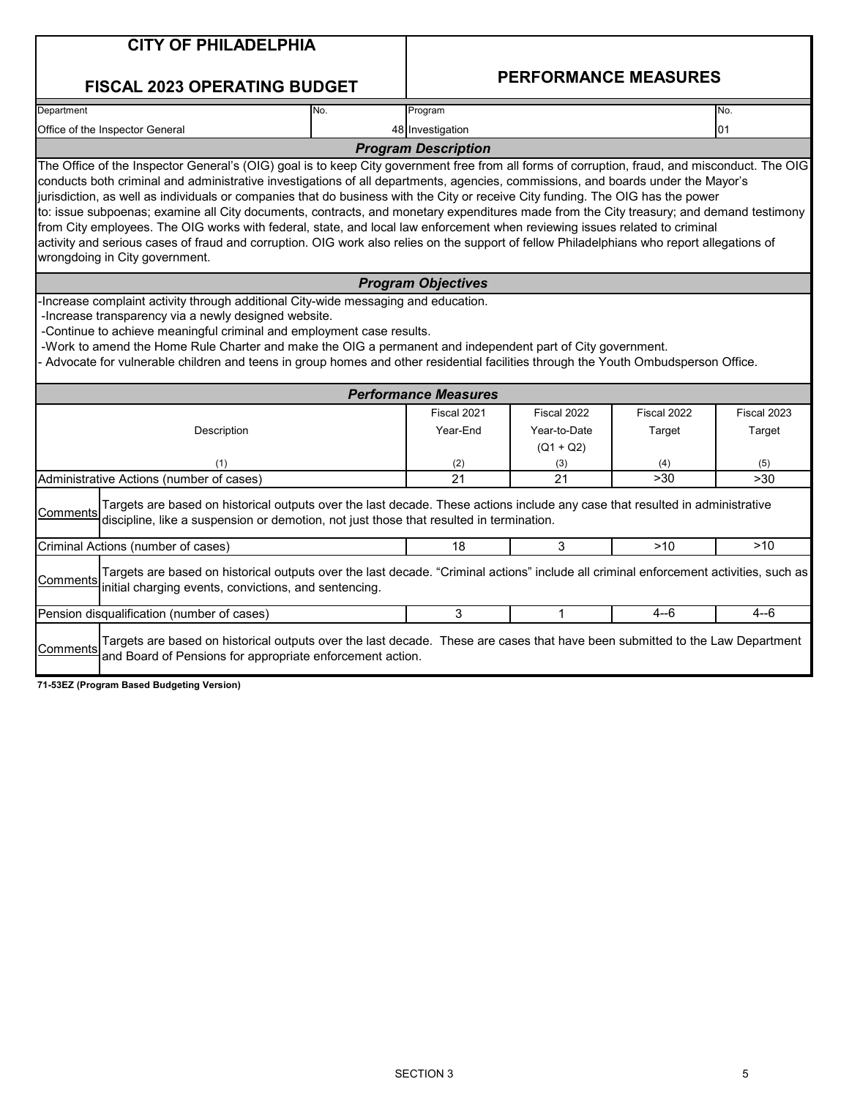|            | <b>CITY OF PHILADELPHIA</b>                                                                                                                                                                                                                                                                                                                                                                                                                                                                                                                                                                                                                                                                                                                                                                                                                                                    |     |                             |                             |             |             |
|------------|--------------------------------------------------------------------------------------------------------------------------------------------------------------------------------------------------------------------------------------------------------------------------------------------------------------------------------------------------------------------------------------------------------------------------------------------------------------------------------------------------------------------------------------------------------------------------------------------------------------------------------------------------------------------------------------------------------------------------------------------------------------------------------------------------------------------------------------------------------------------------------|-----|-----------------------------|-----------------------------|-------------|-------------|
|            | <b>FISCAL 2023 OPERATING BUDGET</b>                                                                                                                                                                                                                                                                                                                                                                                                                                                                                                                                                                                                                                                                                                                                                                                                                                            |     |                             | <b>PERFORMANCE MEASURES</b> |             |             |
| Department |                                                                                                                                                                                                                                                                                                                                                                                                                                                                                                                                                                                                                                                                                                                                                                                                                                                                                | No. | Program                     |                             |             | No.         |
|            | Office of the Inspector General                                                                                                                                                                                                                                                                                                                                                                                                                                                                                                                                                                                                                                                                                                                                                                                                                                                |     | 48 Investigation            |                             |             | 01          |
|            |                                                                                                                                                                                                                                                                                                                                                                                                                                                                                                                                                                                                                                                                                                                                                                                                                                                                                |     | <b>Program Description</b>  |                             |             |             |
|            | The Office of the Inspector General's (OIG) goal is to keep City government free from all forms of corruption, fraud, and misconduct. The OIG<br>conducts both criminal and administrative investigations of all departments, agencies, commissions, and boards under the Mayor's<br>jurisdiction, as well as individuals or companies that do business with the City or receive City funding. The OIG has the power<br>to: issue subpoenas; examine all City documents, contracts, and monetary expenditures made from the City treasury; and demand testimony<br>from City employees. The OIG works with federal, state, and local law enforcement when reviewing issues related to criminal<br>activity and serious cases of fraud and corruption. OIG work also relies on the support of fellow Philadelphians who report allegations of<br>wrongdoing in City government. |     |                             |                             |             |             |
|            |                                                                                                                                                                                                                                                                                                                                                                                                                                                                                                                                                                                                                                                                                                                                                                                                                                                                                |     | <b>Program Objectives</b>   |                             |             |             |
|            | -Continue to achieve meaningful criminal and employment case results.<br>-Work to amend the Home Rule Charter and make the OIG a permanent and independent part of City government.<br>Advocate for vulnerable children and teens in group homes and other residential facilities through the Youth Ombudsperson Office.                                                                                                                                                                                                                                                                                                                                                                                                                                                                                                                                                       |     | <b>Performance Measures</b> |                             |             |             |
|            |                                                                                                                                                                                                                                                                                                                                                                                                                                                                                                                                                                                                                                                                                                                                                                                                                                                                                |     | Fiscal 2021                 | Fiscal 2022                 | Fiscal 2022 | Fiscal 2023 |
|            | Description                                                                                                                                                                                                                                                                                                                                                                                                                                                                                                                                                                                                                                                                                                                                                                                                                                                                    |     | Year-End                    | Year-to-Date<br>$(Q1 + Q2)$ | Target      | Target      |
|            | (1)                                                                                                                                                                                                                                                                                                                                                                                                                                                                                                                                                                                                                                                                                                                                                                                                                                                                            |     | (2)<br>$\overline{21}$      | (3)<br>21                   | (4)<br>>30  | (5)         |
|            | Administrative Actions (number of cases)                                                                                                                                                                                                                                                                                                                                                                                                                                                                                                                                                                                                                                                                                                                                                                                                                                       |     |                             |                             |             | >30         |
| Comments   | Targets are based on historical outputs over the last decade. These actions include any case that resulted in administrative<br>discipline, like a suspension or demotion, not just those that resulted in termination.                                                                                                                                                                                                                                                                                                                                                                                                                                                                                                                                                                                                                                                        |     |                             |                             |             |             |
|            | Criminal Actions (number of cases)                                                                                                                                                                                                                                                                                                                                                                                                                                                                                                                                                                                                                                                                                                                                                                                                                                             |     | 18                          | 3                           | >10         | >10         |
| Comments   | Targets are based on historical outputs over the last decade. "Criminal actions" include all criminal enforcement activities, such as<br>initial charging events, convictions, and sentencing.                                                                                                                                                                                                                                                                                                                                                                                                                                                                                                                                                                                                                                                                                 |     |                             |                             |             |             |
|            | Pension disqualification (number of cases)                                                                                                                                                                                                                                                                                                                                                                                                                                                                                                                                                                                                                                                                                                                                                                                                                                     |     | 3                           | 1                           | 4--6        | $4 - 6$     |
| Comments   | Targets are based on historical outputs over the last decade. These are cases that have been submitted to the Law Department<br>and Board of Pensions for appropriate enforcement action.<br>71-53EZ (Program Based Budgeting Version)                                                                                                                                                                                                                                                                                                                                                                                                                                                                                                                                                                                                                                         |     |                             |                             |             |             |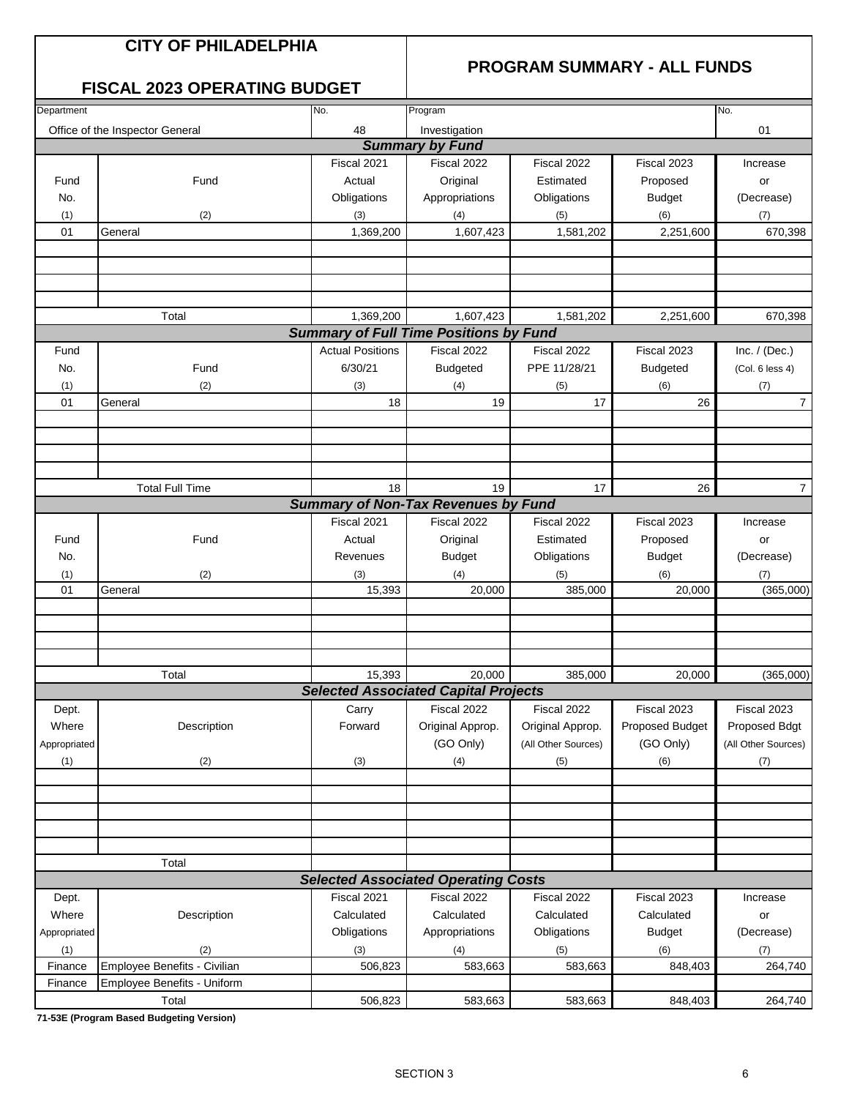#### **CITY OF PHILADELPHIA**

#### **PROGRAM SUMMARY - ALL FUNDS**

#### **FISCAL 2023 OPERATING BUDGET**

| Investigation<br>Office of the Inspector General<br>48<br>01<br><b>Summary by Fund</b><br>Fiscal 2021<br>Fiscal 2022<br>Fiscal 2022<br>Fiscal 2023<br>Original<br>Fund<br>Actual<br>Estimated<br>Proposed<br>Fund<br>or<br>Appropriations<br>No.<br>Obligations<br>Obligations<br><b>Budget</b><br>(2)<br>(3)<br>(6)<br>(7)<br>(1)<br>(4)<br>(5)<br>1,369,200<br>1,607,423<br>1,581,202<br>2,251,600<br>01<br>General<br>Total<br>1,369,200<br>1,607,423<br>1,581,202<br>2,251,600<br><b>Summary of Full Time Positions by Fund</b><br><b>Actual Positions</b><br>Fiscal 2022<br>Fiscal 2022<br>Fiscal 2023<br>Fund<br>6/30/21<br><b>Budgeted</b><br>PPE 11/28/21<br><b>Budgeted</b><br>No.<br>Fund<br>(2)<br>(1)<br>(3)<br>(4)<br>(5)<br>(7)<br>(6)<br>01<br>General<br>18<br>19<br>17<br>26<br><b>Total Full Time</b><br>18<br>17<br>26<br>19<br><b>Summary of Non-Tax Revenues by Fund</b><br>Fiscal 2021<br>Fiscal 2022<br>Fiscal 2022<br>Fiscal 2023<br>Fund<br>Estimated<br>Fund<br>Actual<br>Original<br>Proposed<br>or<br><b>Budget</b><br>No.<br>Revenues<br><b>Budget</b><br>Obligations<br>(2)<br>(4)<br>(1)<br>(3)<br>(6)<br>(5)<br>(7)<br>20,000<br>385,000<br>01<br>General<br>15,393<br>20,000 | Department |       | No.    | Program |         |        | No.                 |
|---------------------------------------------------------------------------------------------------------------------------------------------------------------------------------------------------------------------------------------------------------------------------------------------------------------------------------------------------------------------------------------------------------------------------------------------------------------------------------------------------------------------------------------------------------------------------------------------------------------------------------------------------------------------------------------------------------------------------------------------------------------------------------------------------------------------------------------------------------------------------------------------------------------------------------------------------------------------------------------------------------------------------------------------------------------------------------------------------------------------------------------------------------------------------------------------------------------|------------|-------|--------|---------|---------|--------|---------------------|
|                                                                                                                                                                                                                                                                                                                                                                                                                                                                                                                                                                                                                                                                                                                                                                                                                                                                                                                                                                                                                                                                                                                                                                                                               |            |       |        |         |         |        |                     |
|                                                                                                                                                                                                                                                                                                                                                                                                                                                                                                                                                                                                                                                                                                                                                                                                                                                                                                                                                                                                                                                                                                                                                                                                               |            |       |        |         |         |        |                     |
|                                                                                                                                                                                                                                                                                                                                                                                                                                                                                                                                                                                                                                                                                                                                                                                                                                                                                                                                                                                                                                                                                                                                                                                                               |            |       |        |         |         |        | Increase            |
|                                                                                                                                                                                                                                                                                                                                                                                                                                                                                                                                                                                                                                                                                                                                                                                                                                                                                                                                                                                                                                                                                                                                                                                                               |            |       |        |         |         |        |                     |
|                                                                                                                                                                                                                                                                                                                                                                                                                                                                                                                                                                                                                                                                                                                                                                                                                                                                                                                                                                                                                                                                                                                                                                                                               |            |       |        |         |         |        | (Decrease)          |
|                                                                                                                                                                                                                                                                                                                                                                                                                                                                                                                                                                                                                                                                                                                                                                                                                                                                                                                                                                                                                                                                                                                                                                                                               |            |       |        |         |         |        |                     |
|                                                                                                                                                                                                                                                                                                                                                                                                                                                                                                                                                                                                                                                                                                                                                                                                                                                                                                                                                                                                                                                                                                                                                                                                               |            |       |        |         |         |        | 670,398             |
|                                                                                                                                                                                                                                                                                                                                                                                                                                                                                                                                                                                                                                                                                                                                                                                                                                                                                                                                                                                                                                                                                                                                                                                                               |            |       |        |         |         |        |                     |
|                                                                                                                                                                                                                                                                                                                                                                                                                                                                                                                                                                                                                                                                                                                                                                                                                                                                                                                                                                                                                                                                                                                                                                                                               |            |       |        |         |         |        |                     |
|                                                                                                                                                                                                                                                                                                                                                                                                                                                                                                                                                                                                                                                                                                                                                                                                                                                                                                                                                                                                                                                                                                                                                                                                               |            |       |        |         |         |        |                     |
|                                                                                                                                                                                                                                                                                                                                                                                                                                                                                                                                                                                                                                                                                                                                                                                                                                                                                                                                                                                                                                                                                                                                                                                                               |            |       |        |         |         |        |                     |
|                                                                                                                                                                                                                                                                                                                                                                                                                                                                                                                                                                                                                                                                                                                                                                                                                                                                                                                                                                                                                                                                                                                                                                                                               |            |       |        |         |         |        | 670,398             |
|                                                                                                                                                                                                                                                                                                                                                                                                                                                                                                                                                                                                                                                                                                                                                                                                                                                                                                                                                                                                                                                                                                                                                                                                               |            |       |        |         |         |        |                     |
|                                                                                                                                                                                                                                                                                                                                                                                                                                                                                                                                                                                                                                                                                                                                                                                                                                                                                                                                                                                                                                                                                                                                                                                                               |            |       |        |         |         |        | Inc. $/$ (Dec.)     |
|                                                                                                                                                                                                                                                                                                                                                                                                                                                                                                                                                                                                                                                                                                                                                                                                                                                                                                                                                                                                                                                                                                                                                                                                               |            |       |        |         |         |        | (Col. 6 less 4)     |
|                                                                                                                                                                                                                                                                                                                                                                                                                                                                                                                                                                                                                                                                                                                                                                                                                                                                                                                                                                                                                                                                                                                                                                                                               |            |       |        |         |         |        |                     |
|                                                                                                                                                                                                                                                                                                                                                                                                                                                                                                                                                                                                                                                                                                                                                                                                                                                                                                                                                                                                                                                                                                                                                                                                               |            |       |        |         |         |        | $\overline{7}$      |
|                                                                                                                                                                                                                                                                                                                                                                                                                                                                                                                                                                                                                                                                                                                                                                                                                                                                                                                                                                                                                                                                                                                                                                                                               |            |       |        |         |         |        |                     |
|                                                                                                                                                                                                                                                                                                                                                                                                                                                                                                                                                                                                                                                                                                                                                                                                                                                                                                                                                                                                                                                                                                                                                                                                               |            |       |        |         |         |        |                     |
|                                                                                                                                                                                                                                                                                                                                                                                                                                                                                                                                                                                                                                                                                                                                                                                                                                                                                                                                                                                                                                                                                                                                                                                                               |            |       |        |         |         |        |                     |
|                                                                                                                                                                                                                                                                                                                                                                                                                                                                                                                                                                                                                                                                                                                                                                                                                                                                                                                                                                                                                                                                                                                                                                                                               |            |       |        |         |         |        |                     |
|                                                                                                                                                                                                                                                                                                                                                                                                                                                                                                                                                                                                                                                                                                                                                                                                                                                                                                                                                                                                                                                                                                                                                                                                               |            |       |        |         |         |        | $\overline{7}$      |
|                                                                                                                                                                                                                                                                                                                                                                                                                                                                                                                                                                                                                                                                                                                                                                                                                                                                                                                                                                                                                                                                                                                                                                                                               |            |       |        |         |         |        |                     |
|                                                                                                                                                                                                                                                                                                                                                                                                                                                                                                                                                                                                                                                                                                                                                                                                                                                                                                                                                                                                                                                                                                                                                                                                               |            |       |        |         |         |        | Increase            |
|                                                                                                                                                                                                                                                                                                                                                                                                                                                                                                                                                                                                                                                                                                                                                                                                                                                                                                                                                                                                                                                                                                                                                                                                               |            |       |        |         |         |        |                     |
|                                                                                                                                                                                                                                                                                                                                                                                                                                                                                                                                                                                                                                                                                                                                                                                                                                                                                                                                                                                                                                                                                                                                                                                                               |            |       |        |         |         |        | (Decrease)          |
|                                                                                                                                                                                                                                                                                                                                                                                                                                                                                                                                                                                                                                                                                                                                                                                                                                                                                                                                                                                                                                                                                                                                                                                                               |            |       |        |         |         |        |                     |
|                                                                                                                                                                                                                                                                                                                                                                                                                                                                                                                                                                                                                                                                                                                                                                                                                                                                                                                                                                                                                                                                                                                                                                                                               |            |       |        |         |         |        | (365,000)           |
|                                                                                                                                                                                                                                                                                                                                                                                                                                                                                                                                                                                                                                                                                                                                                                                                                                                                                                                                                                                                                                                                                                                                                                                                               |            |       |        |         |         |        |                     |
|                                                                                                                                                                                                                                                                                                                                                                                                                                                                                                                                                                                                                                                                                                                                                                                                                                                                                                                                                                                                                                                                                                                                                                                                               |            |       |        |         |         |        |                     |
|                                                                                                                                                                                                                                                                                                                                                                                                                                                                                                                                                                                                                                                                                                                                                                                                                                                                                                                                                                                                                                                                                                                                                                                                               |            |       |        |         |         |        |                     |
|                                                                                                                                                                                                                                                                                                                                                                                                                                                                                                                                                                                                                                                                                                                                                                                                                                                                                                                                                                                                                                                                                                                                                                                                               |            |       |        |         |         |        |                     |
|                                                                                                                                                                                                                                                                                                                                                                                                                                                                                                                                                                                                                                                                                                                                                                                                                                                                                                                                                                                                                                                                                                                                                                                                               |            | Total | 15,393 | 20,000  | 385,000 | 20,000 | (365,000)           |
| <b>Selected Associated Capital Projects</b>                                                                                                                                                                                                                                                                                                                                                                                                                                                                                                                                                                                                                                                                                                                                                                                                                                                                                                                                                                                                                                                                                                                                                                   |            |       |        |         |         |        |                     |
| Fiscal 2022<br>Fiscal 2022<br>Fiscal 2023<br>Carry<br>Dept.                                                                                                                                                                                                                                                                                                                                                                                                                                                                                                                                                                                                                                                                                                                                                                                                                                                                                                                                                                                                                                                                                                                                                   |            |       |        |         |         |        | Fiscal 2023         |
| Where<br>Description<br>Forward<br>Original Approp.<br>Original Approp.<br><b>Proposed Budget</b>                                                                                                                                                                                                                                                                                                                                                                                                                                                                                                                                                                                                                                                                                                                                                                                                                                                                                                                                                                                                                                                                                                             |            |       |        |         |         |        | Proposed Bdgt       |
| (GO Only)<br>(GO Only)<br>(All Other Sources)<br>Appropriated                                                                                                                                                                                                                                                                                                                                                                                                                                                                                                                                                                                                                                                                                                                                                                                                                                                                                                                                                                                                                                                                                                                                                 |            |       |        |         |         |        | (All Other Sources) |
| (2)<br>(1)<br>(3)<br>(4)<br>(5)<br>(7)<br>(6)                                                                                                                                                                                                                                                                                                                                                                                                                                                                                                                                                                                                                                                                                                                                                                                                                                                                                                                                                                                                                                                                                                                                                                 |            |       |        |         |         |        |                     |
|                                                                                                                                                                                                                                                                                                                                                                                                                                                                                                                                                                                                                                                                                                                                                                                                                                                                                                                                                                                                                                                                                                                                                                                                               |            |       |        |         |         |        |                     |
|                                                                                                                                                                                                                                                                                                                                                                                                                                                                                                                                                                                                                                                                                                                                                                                                                                                                                                                                                                                                                                                                                                                                                                                                               |            |       |        |         |         |        |                     |
|                                                                                                                                                                                                                                                                                                                                                                                                                                                                                                                                                                                                                                                                                                                                                                                                                                                                                                                                                                                                                                                                                                                                                                                                               |            |       |        |         |         |        |                     |
|                                                                                                                                                                                                                                                                                                                                                                                                                                                                                                                                                                                                                                                                                                                                                                                                                                                                                                                                                                                                                                                                                                                                                                                                               |            |       |        |         |         |        |                     |
|                                                                                                                                                                                                                                                                                                                                                                                                                                                                                                                                                                                                                                                                                                                                                                                                                                                                                                                                                                                                                                                                                                                                                                                                               |            |       |        |         |         |        |                     |
| Total                                                                                                                                                                                                                                                                                                                                                                                                                                                                                                                                                                                                                                                                                                                                                                                                                                                                                                                                                                                                                                                                                                                                                                                                         |            |       |        |         |         |        |                     |
| <b>Selected Associated Operating Costs</b>                                                                                                                                                                                                                                                                                                                                                                                                                                                                                                                                                                                                                                                                                                                                                                                                                                                                                                                                                                                                                                                                                                                                                                    |            |       |        |         |         |        |                     |
| Fiscal 2021<br>Fiscal 2022<br>Fiscal 2022<br>Fiscal 2023<br>Dept.                                                                                                                                                                                                                                                                                                                                                                                                                                                                                                                                                                                                                                                                                                                                                                                                                                                                                                                                                                                                                                                                                                                                             |            |       |        |         |         |        | Increase            |
| Where<br>Calculated<br>Calculated<br>Calculated<br>Description<br>Calculated<br>or                                                                                                                                                                                                                                                                                                                                                                                                                                                                                                                                                                                                                                                                                                                                                                                                                                                                                                                                                                                                                                                                                                                            |            |       |        |         |         |        |                     |
| Obligations<br>Obligations<br>Appropriations<br><b>Budget</b><br>Appropriated                                                                                                                                                                                                                                                                                                                                                                                                                                                                                                                                                                                                                                                                                                                                                                                                                                                                                                                                                                                                                                                                                                                                 |            |       |        |         |         |        | (Decrease)          |
| (2)<br>(6)<br>(1)<br>(3)<br>(4)<br>(7)<br>(5)                                                                                                                                                                                                                                                                                                                                                                                                                                                                                                                                                                                                                                                                                                                                                                                                                                                                                                                                                                                                                                                                                                                                                                 |            |       |        |         |         |        |                     |
| Employee Benefits - Civilian<br>506,823<br>583,663<br>583,663<br>848,403<br>Finance                                                                                                                                                                                                                                                                                                                                                                                                                                                                                                                                                                                                                                                                                                                                                                                                                                                                                                                                                                                                                                                                                                                           |            |       |        |         |         |        | 264,740             |
| Employee Benefits - Uniform<br>Finance                                                                                                                                                                                                                                                                                                                                                                                                                                                                                                                                                                                                                                                                                                                                                                                                                                                                                                                                                                                                                                                                                                                                                                        |            |       |        |         |         |        |                     |
| Total<br>506,823<br>583,663<br>583,663<br>848,403                                                                                                                                                                                                                                                                                                                                                                                                                                                                                                                                                                                                                                                                                                                                                                                                                                                                                                                                                                                                                                                                                                                                                             |            |       |        |         |         |        | 264,740             |

**71-53E (Program Based Budgeting Version)**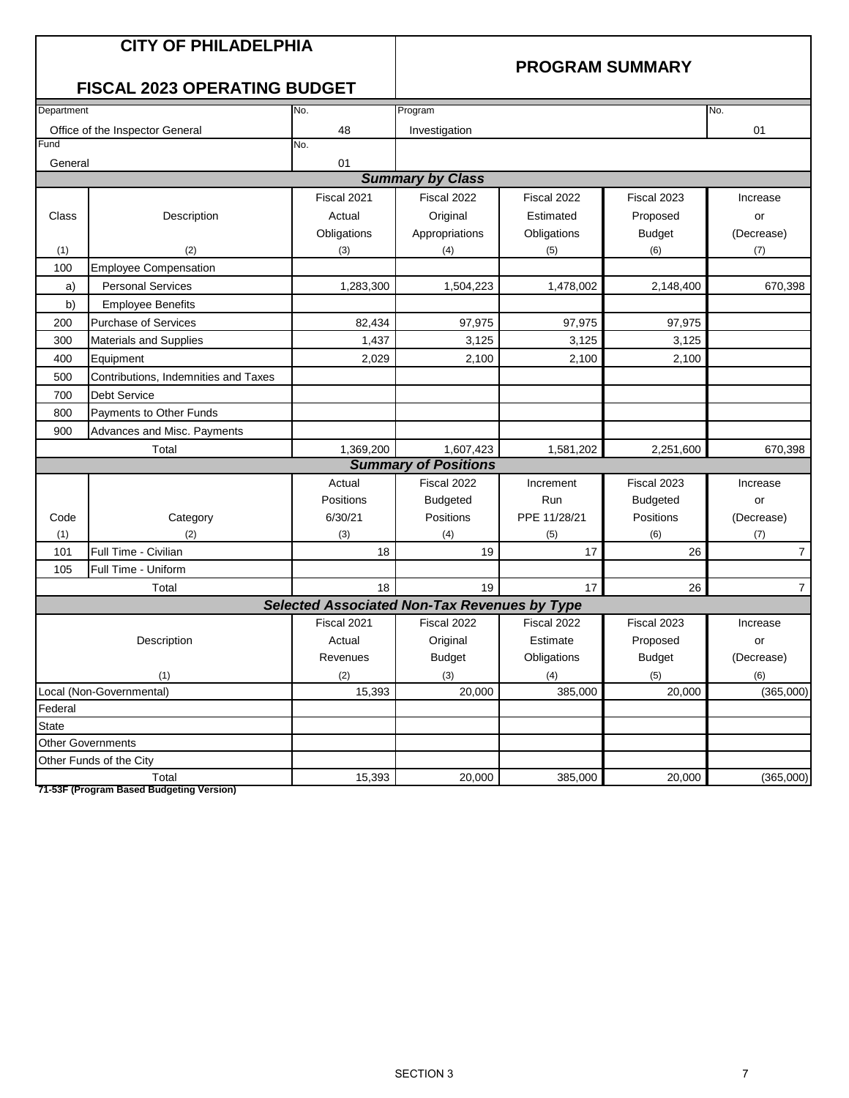## **CITY OF PHILADELPHIA**

#### **PROGRAM SUMMARY**

## **FISCAL 2023 OPERATING BUDGET**

|              | UUAL LUL                             |                                              |                             |              |                 |                |
|--------------|--------------------------------------|----------------------------------------------|-----------------------------|--------------|-----------------|----------------|
| Department   |                                      | No.                                          | Program                     |              |                 | No.            |
|              | Office of the Inspector General      | 48                                           | Investigation               |              |                 | 01             |
| Fund         |                                      | No.                                          |                             |              |                 |                |
| General      |                                      | 01                                           |                             |              |                 |                |
|              |                                      |                                              | <b>Summary by Class</b>     |              |                 |                |
|              |                                      | Fiscal 2021                                  | Fiscal 2022                 | Fiscal 2022  | Fiscal 2023     | Increase       |
| Class        | Description                          | Actual                                       | Original                    | Estimated    | Proposed        | or             |
|              |                                      | Obligations                                  | Appropriations              | Obligations  | <b>Budget</b>   | (Decrease)     |
| (1)          | (2)                                  | (3)                                          | (4)                         | (5)          | (6)             | (7)            |
| 100          | <b>Employee Compensation</b>         |                                              |                             |              |                 |                |
| a)           | <b>Personal Services</b>             | 1,283,300                                    | 1,504,223                   | 1,478,002    | 2,148,400       | 670,398        |
| b)           | <b>Employee Benefits</b>             |                                              |                             |              |                 |                |
| 200          | <b>Purchase of Services</b>          | 82,434                                       | 97,975                      | 97,975       | 97,975          |                |
| 300          | Materials and Supplies               | 1,437                                        | 3,125                       | 3,125        | 3,125           |                |
| 400          | Equipment                            | 2,029                                        | 2,100                       | 2,100        | 2,100           |                |
| 500          | Contributions, Indemnities and Taxes |                                              |                             |              |                 |                |
| 700          | <b>Debt Service</b>                  |                                              |                             |              |                 |                |
| 800          | Payments to Other Funds              |                                              |                             |              |                 |                |
| 900          | Advances and Misc. Payments          |                                              |                             |              |                 |                |
|              | Total                                | 1,369,200                                    | 1,607,423                   | 1,581,202    | 2,251,600       | 670,398        |
|              |                                      |                                              | <b>Summary of Positions</b> |              |                 |                |
|              |                                      | Actual                                       | Fiscal 2022                 | Increment    | Fiscal 2023     | Increase       |
|              |                                      | Positions                                    | <b>Budgeted</b>             | Run          | <b>Budgeted</b> | or             |
| Code         | Category                             | 6/30/21                                      | Positions                   | PPE 11/28/21 | Positions       | (Decrease)     |
| (1)          | (2)                                  | (3)                                          | (4)                         | (5)          | (6)             | (7)            |
| 101          | Full Time - Civilian                 | 18                                           | 19                          | 17           | 26              | $\overline{7}$ |
| 105          | Full Time - Uniform                  |                                              |                             |              |                 |                |
|              | Total                                | 18                                           | 19                          | 17           | 26              | $\overline{7}$ |
|              |                                      | Selected Associated Non-Tax Revenues by Type |                             |              |                 |                |
|              |                                      | Fiscal 2021                                  | Fiscal 2022                 | Fiscal 2022  | Fiscal 2023     | Increase       |
|              | Description                          | Actual                                       | Original                    | Estimate     | Proposed        | or             |
|              |                                      | Revenues                                     | <b>Budget</b>               | Obligations  | <b>Budget</b>   | (Decrease)     |
|              | (1)                                  | (2)                                          | (3)                         | (4)          | (5)             | (6)            |
|              | Local (Non-Governmental)             | 15,393                                       | 20,000                      | 385,000      | 20,000          | (365,000)      |
| Federal      |                                      |                                              |                             |              |                 |                |
| <b>State</b> |                                      |                                              |                             |              |                 |                |
|              | <b>Other Governments</b>             |                                              |                             |              |                 |                |
|              | Other Funds of the City              |                                              |                             |              |                 |                |
|              | Total                                | 15,393                                       | 20,000                      | 385,000      | 20,000          | (365,000)      |

**71-53F (Program Based Budgeting Version)**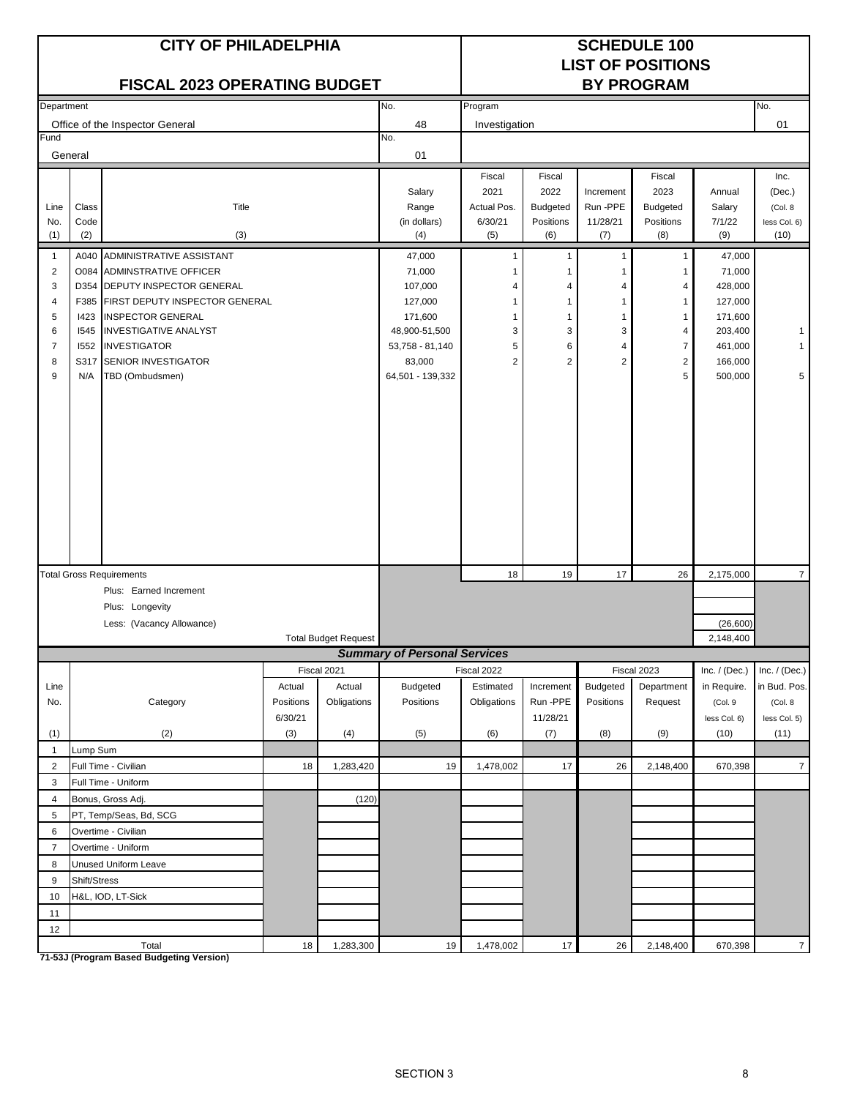|                |              | <b>CITY OF PHILADELPHIA</b><br><b>FISCAL 2023 OPERATING BUDGET</b> |           |                             |                                     | <b>SCHEDULE 100</b><br><b>LIST OF POSITIONS</b><br><b>BY PROGRAM</b> |                 |                       |                         |                  |                    |
|----------------|--------------|--------------------------------------------------------------------|-----------|-----------------------------|-------------------------------------|----------------------------------------------------------------------|-----------------|-----------------------|-------------------------|------------------|--------------------|
|                |              |                                                                    |           |                             |                                     |                                                                      |                 |                       |                         |                  |                    |
| Department     |              |                                                                    |           |                             | No.                                 | Program                                                              |                 |                       |                         |                  | No.                |
| Fund           |              | Office of the Inspector General                                    |           |                             | 48<br>No.                           | Investigation                                                        |                 |                       |                         |                  | 01                 |
|                | General      |                                                                    |           |                             | 01                                  |                                                                      |                 |                       |                         |                  |                    |
|                |              |                                                                    |           |                             |                                     |                                                                      |                 |                       |                         |                  |                    |
|                |              |                                                                    |           |                             |                                     | Fiscal                                                               | Fiscal<br>2022  |                       | Fiscal                  |                  | Inc.               |
| Line           | Class        | Title                                                              |           |                             | Salary<br>Range                     | 2021<br>Actual Pos.                                                  | <b>Budgeted</b> | Increment<br>Run -PPE | 2023<br><b>Budgeted</b> | Annual<br>Salary | (Dec.)<br>(Col. 8) |
| No.            | Code         |                                                                    |           |                             | (in dollars)                        | 6/30/21                                                              | Positions       | 11/28/21              | Positions               | 7/1/22           | less Col. 6)       |
| (1)            | (2)          | (3)                                                                |           |                             | (4)                                 | (5)                                                                  | (6)             | (7)                   | (8)                     | (9)              | (10)               |
| $\overline{1}$ | A040         | ADMINISTRATIVE ASSISTANT                                           |           |                             | 47,000                              | 1                                                                    | 1               | 1                     | $\mathbf{1}$            | 47,000           |                    |
| $\overline{c}$ |              | <b>O084 ADMINSTRATIVE OFFICER</b>                                  |           |                             | 71,000                              |                                                                      |                 | 1                     | -1                      | 71,000           |                    |
| 3              | D354         | <b>DEPUTY INSPECTOR GENERAL</b>                                    |           |                             | 107,000                             | 4                                                                    | 4               | 4                     | 4                       | 428,000          |                    |
| 4              | F385         | <b>FIRST DEPUTY INSPECTOR GENERAL</b>                              |           |                             | 127,000                             | 1                                                                    | 1               | 1                     | $\mathbf{1}$            | 127,000          |                    |
| 5              | 1423         | <b>INSPECTOR GENERAL</b>                                           |           |                             | 171,600                             | 1                                                                    | 1               | $\overline{1}$        | $\mathbf{1}$            | 171,600          |                    |
| 6              | 1545         | <b>INVESTIGATIVE ANALYST</b>                                       |           |                             | 48,900-51,500                       | 3                                                                    | 3               | 3                     | 4                       | 203,400          |                    |
| $\overline{7}$ | 1552         | <b>INVESTIGATOR</b>                                                |           |                             | 53,758 - 81,140                     | 5                                                                    | 6               | 4                     | $\overline{7}$          | 461,000          | 1                  |
| 8              | S317         | <b>SENIOR INVESTIGATOR</b>                                         |           |                             | 83,000                              | $\overline{2}$                                                       | $\overline{2}$  | $\overline{2}$        | $\overline{2}$          | 166,000          |                    |
| 9              | N/A          | TBD (Ombudsmen)                                                    |           |                             | 64,501 - 139,332                    |                                                                      |                 |                       | 5                       | 500,000          | 5                  |
|                |              |                                                                    |           |                             |                                     |                                                                      |                 |                       |                         |                  |                    |
|                |              |                                                                    |           |                             |                                     |                                                                      |                 |                       |                         |                  |                    |
|                |              |                                                                    |           |                             |                                     |                                                                      |                 |                       |                         |                  |                    |
|                |              |                                                                    |           |                             |                                     |                                                                      |                 |                       |                         |                  |                    |
|                |              |                                                                    |           |                             |                                     |                                                                      |                 |                       |                         |                  |                    |
|                |              |                                                                    |           |                             |                                     |                                                                      |                 |                       |                         |                  |                    |
|                |              |                                                                    |           |                             |                                     |                                                                      |                 |                       |                         |                  |                    |
|                |              |                                                                    |           |                             |                                     |                                                                      |                 |                       |                         |                  |                    |
|                |              |                                                                    |           |                             |                                     |                                                                      |                 |                       |                         |                  |                    |
|                |              |                                                                    |           |                             |                                     |                                                                      |                 |                       |                         |                  |                    |
|                |              |                                                                    |           |                             |                                     |                                                                      |                 |                       |                         |                  |                    |
|                |              | <b>Total Gross Requirements</b>                                    |           |                             |                                     | 18                                                                   | 19              | 17                    | 26                      | 2,175,000        | $\overline{7}$     |
|                |              | Plus: Earned Increment                                             |           |                             |                                     |                                                                      |                 |                       |                         |                  |                    |
|                |              | Plus: Longevity                                                    |           |                             |                                     |                                                                      |                 |                       |                         |                  |                    |
|                |              | Less: (Vacancy Allowance)                                          |           |                             |                                     |                                                                      |                 |                       |                         | (26, 600)        |                    |
|                |              |                                                                    |           | <b>Total Budget Request</b> |                                     |                                                                      |                 |                       |                         | 2,148,400        |                    |
|                |              |                                                                    |           |                             | <b>Summary of Personal Services</b> |                                                                      |                 |                       |                         |                  |                    |
|                |              |                                                                    |           | Fiscal 2021                 |                                     | Fiscal 2022                                                          |                 |                       | Fiscal 2023             | Inc. $/$ (Dec.)  | Inc. $/$ (Dec.)    |
| Line           |              |                                                                    | Actual    | Actual                      | <b>Budgeted</b>                     | Estimated                                                            | Increment       | <b>Budgeted</b>       | Department              | in Require.      | in Bud. Pos.       |
| No.            |              | Category                                                           | Positions | Obligations                 | Positions                           | Obligations                                                          | Run -PPE        | Positions             | Request                 | (Col. 9          | (Col. 8)           |
|                |              |                                                                    | 6/30/21   |                             |                                     |                                                                      | 11/28/21        |                       |                         | less Col. 6)     | less Col. 5)       |
| (1)            |              | (2)                                                                | (3)       | (4)                         | (5)                                 | (6)                                                                  | (7)             | (8)                   | (9)                     | (10)             | (11)               |
| $\mathbf{1}$   | Lump Sum     |                                                                    |           |                             |                                     |                                                                      |                 |                       |                         |                  |                    |
| $\overline{2}$ |              | Full Time - Civilian                                               | 18        | 1,283,420                   | 19                                  | 1,478,002                                                            | 17              | 26                    | 2,148,400               | 670,398          | $\overline{7}$     |
| 3              |              | Full Time - Uniform                                                |           |                             |                                     |                                                                      |                 |                       |                         |                  |                    |
| $\overline{4}$ |              | Bonus, Gross Adj.                                                  |           | (120)                       |                                     |                                                                      |                 |                       |                         |                  |                    |
| 5              |              | PT, Temp/Seas, Bd, SCG                                             |           |                             |                                     |                                                                      |                 |                       |                         |                  |                    |
| 6              |              | Overtime - Civilian                                                |           |                             |                                     |                                                                      |                 |                       |                         |                  |                    |
| $\overline{7}$ |              | Overtime - Uniform                                                 |           |                             |                                     |                                                                      |                 |                       |                         |                  |                    |
| 8              |              | Unused Uniform Leave                                               |           |                             |                                     |                                                                      |                 |                       |                         |                  |                    |
| 9              | Shift/Stress |                                                                    |           |                             |                                     |                                                                      |                 |                       |                         |                  |                    |
| 10             |              | H&L, IOD, LT-Sick                                                  |           |                             |                                     |                                                                      |                 |                       |                         |                  |                    |
| 11             |              |                                                                    |           |                             |                                     |                                                                      |                 |                       |                         |                  |                    |
| 12             |              |                                                                    |           |                             |                                     |                                                                      |                 |                       |                         |                  |                    |
|                |              | Total                                                              | 18        | 1,283,300                   | 19                                  | 1,478,002                                                            | 17              | 26                    | 2,148,400               | 670,398          | $\overline{7}$     |

**71-53J (Program Based Budgeting Version)**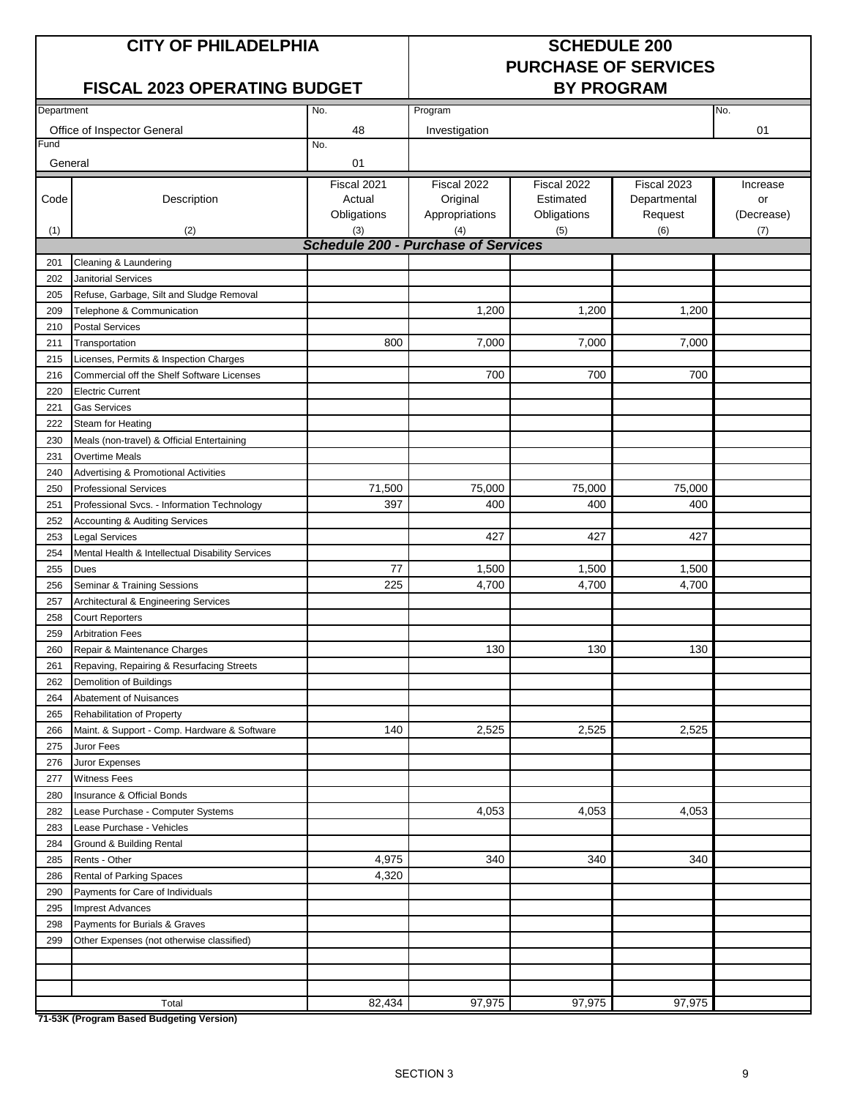#### **CITY OF PHILADELPHIA SCHEDULE 200**

# **PURCHASE OF SERVICES**

#### **FISCAL 2023 OPERATING BUDGET**

| Department |                                                  | No.                                        | Program        |             | No.          |            |
|------------|--------------------------------------------------|--------------------------------------------|----------------|-------------|--------------|------------|
|            | Office of Inspector General                      | 48                                         | Investigation  |             |              | 01         |
| Fund       |                                                  | No.                                        |                |             |              |            |
| General    |                                                  | 01                                         |                |             |              |            |
|            |                                                  | Fiscal 2021                                | Fiscal 2022    | Fiscal 2022 | Fiscal 2023  | Increase   |
| Code       | Description                                      | Actual                                     | Original       | Estimated   | Departmental | or         |
|            |                                                  | Obligations                                | Appropriations | Obligations | Request      | (Decrease) |
| (1)        | (2)                                              | (3)                                        | (4)            | (5)         | (6)          | (7)        |
|            |                                                  | <b>Schedule 200 - Purchase of Services</b> |                |             |              |            |
| 201        | Cleaning & Laundering                            |                                            |                |             |              |            |
| 202        | <b>Janitorial Services</b>                       |                                            |                |             |              |            |
| 205        | Refuse, Garbage, Silt and Sludge Removal         |                                            |                |             |              |            |
| 209        | Telephone & Communication                        |                                            | 1,200          | 1,200       | 1,200        |            |
| 210        | <b>Postal Services</b>                           |                                            |                |             |              |            |
|            | Transportation                                   | 800                                        | 7,000          | 7,000       | 7,000        |            |
| 211        |                                                  |                                            |                |             |              |            |
| 215        | Licenses, Permits & Inspection Charges           |                                            |                |             |              |            |
| 216        | Commercial off the Shelf Software Licenses       |                                            | 700            | 700         | 700          |            |
| 220        | <b>Electric Current</b>                          |                                            |                |             |              |            |
| 221        | <b>Gas Services</b>                              |                                            |                |             |              |            |
| 222        | Steam for Heating                                |                                            |                |             |              |            |
| 230        | Meals (non-travel) & Official Entertaining       |                                            |                |             |              |            |
| 231        | <b>Overtime Meals</b>                            |                                            |                |             |              |            |
| 240        | Advertising & Promotional Activities             |                                            |                |             |              |            |
| 250        | <b>Professional Services</b>                     | 71,500                                     | 75,000         | 75,000      | 75,000       |            |
| 251        | Professional Svcs. - Information Technology      | 397                                        | 400            | 400         | 400          |            |
| 252        | Accounting & Auditing Services                   |                                            |                |             |              |            |
| 253        | <b>Legal Services</b>                            |                                            | 427            | 427         | 427          |            |
| 254        | Mental Health & Intellectual Disability Services |                                            |                |             |              |            |
| 255        | Dues                                             | 77                                         | 1,500          | 1,500       | 1,500        |            |
| 256        | Seminar & Training Sessions                      | 225                                        | 4,700          | 4,700       | 4,700        |            |
| 257        | Architectural & Engineering Services             |                                            |                |             |              |            |
| 258        | <b>Court Reporters</b>                           |                                            |                |             |              |            |
| 259        | <b>Arbitration Fees</b>                          |                                            |                |             |              |            |
| 260        | Repair & Maintenance Charges                     |                                            | 130            | 130         | 130          |            |
| 261        | Repaving, Repairing & Resurfacing Streets        |                                            |                |             |              |            |
| 262        | Demolition of Buildings                          |                                            |                |             |              |            |
| 264        | Abatement of Nuisances                           |                                            |                |             |              |            |
| 265        | <b>Rehabilitation of Property</b>                |                                            |                |             |              |            |
| 266        | Maint. & Support - Comp. Hardware & Software     | 140                                        | 2,525          | 2,525       | 2,525        |            |
| 275        | Juror Fees                                       |                                            |                |             |              |            |
| 276        | Juror Expenses                                   |                                            |                |             |              |            |
| 277        | <b>Witness Fees</b>                              |                                            |                |             |              |            |
| 280        | Insurance & Official Bonds                       |                                            |                |             |              |            |
| 282        | Lease Purchase - Computer Systems                |                                            | 4,053          | 4,053       | 4,053        |            |
| 283        | Lease Purchase - Vehicles                        |                                            |                |             |              |            |
| 284        | Ground & Building Rental                         |                                            |                |             |              |            |
| 285        | Rents - Other                                    | 4,975                                      | 340            | 340         | 340          |            |
| 286        | Rental of Parking Spaces                         | 4,320                                      |                |             |              |            |
| 290        | Payments for Care of Individuals                 |                                            |                |             |              |            |
| 295        | <b>Imprest Advances</b>                          |                                            |                |             |              |            |
| 298        | Payments for Burials & Graves                    |                                            |                |             |              |            |
| 299        | Other Expenses (not otherwise classified)        |                                            |                |             |              |            |
|            |                                                  |                                            |                |             |              |            |
|            |                                                  |                                            |                |             |              |            |
|            |                                                  |                                            |                |             |              |            |
|            | Total                                            | 82,434                                     | 97,975         | 97,975      | 97,975       |            |
|            | 71-53K (Program Based Budgeting Version)         |                                            |                |             |              |            |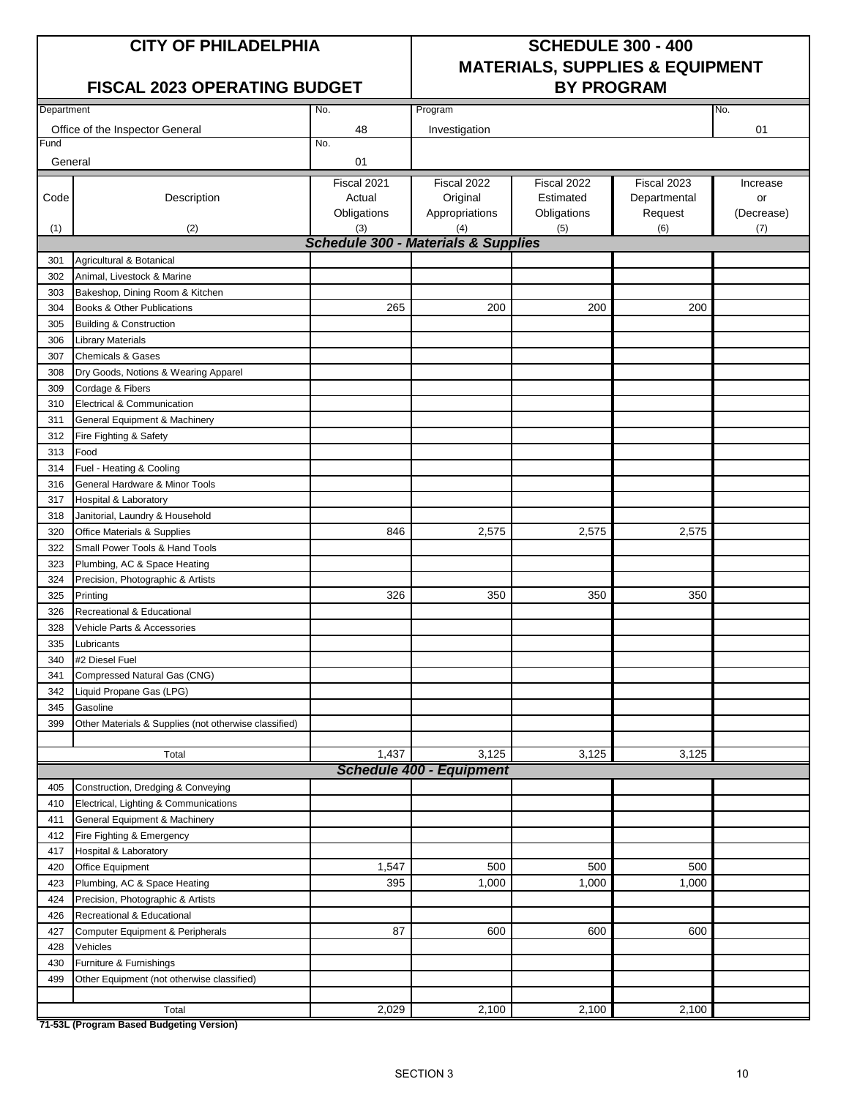#### **FISCAL 2023 OPERATING BUDGET BY PROGRAM**

# **CITY OF PHILADELPHIA SCHEDULE 300 - 400 MATERIALS, SUPPLIES & EQUIPMENT**

| Department |                                                       | No.                                            | Program                         |                    |                | No.               |
|------------|-------------------------------------------------------|------------------------------------------------|---------------------------------|--------------------|----------------|-------------------|
|            | Office of the Inspector General                       | 48                                             | Investigation                   |                    |                | 01                |
| Fund       |                                                       | No.                                            |                                 |                    |                |                   |
| General    |                                                       | 01                                             |                                 |                    |                |                   |
|            |                                                       |                                                |                                 |                    |                |                   |
|            |                                                       | Fiscal 2021                                    | Fiscal 2022                     | Fiscal 2022        | Fiscal 2023    | Increase          |
| Code       | Description                                           | Actual                                         | Original                        | Estimated          | Departmental   | or                |
| (1)        | (2)                                                   | Obligations<br>(3)                             | Appropriations<br>(4)           | Obligations<br>(5) | Request<br>(6) | (Decrease)<br>(7) |
|            |                                                       | <b>Schedule 300 - Materials &amp; Supplies</b> |                                 |                    |                |                   |
| 301        | Agricultural & Botanical                              |                                                |                                 |                    |                |                   |
| 302        | Animal, Livestock & Marine                            |                                                |                                 |                    |                |                   |
| 303        | Bakeshop, Dining Room & Kitchen                       |                                                |                                 |                    |                |                   |
| 304        | Books & Other Publications                            | 265                                            | 200                             | 200                | 200            |                   |
| 305        | <b>Building &amp; Construction</b>                    |                                                |                                 |                    |                |                   |
| 306        | Library Materials                                     |                                                |                                 |                    |                |                   |
| 307        | <b>Chemicals &amp; Gases</b>                          |                                                |                                 |                    |                |                   |
| 308        | Dry Goods, Notions & Wearing Apparel                  |                                                |                                 |                    |                |                   |
| 309        | Cordage & Fibers                                      |                                                |                                 |                    |                |                   |
| 310        | Electrical & Communication                            |                                                |                                 |                    |                |                   |
| 311        | General Equipment & Machinery                         |                                                |                                 |                    |                |                   |
| 312        | Fire Fighting & Safety                                |                                                |                                 |                    |                |                   |
| 313        | Food                                                  |                                                |                                 |                    |                |                   |
| 314        | Fuel - Heating & Cooling                              |                                                |                                 |                    |                |                   |
| 316        | General Hardware & Minor Tools                        |                                                |                                 |                    |                |                   |
| 317        | Hospital & Laboratory                                 |                                                |                                 |                    |                |                   |
| 318        | Janitorial, Laundry & Household                       |                                                |                                 |                    |                |                   |
| 320        | Office Materials & Supplies                           | 846                                            | 2,575                           | 2,575              | 2,575          |                   |
| 322        | Small Power Tools & Hand Tools                        |                                                |                                 |                    |                |                   |
| 323        | Plumbing, AC & Space Heating                          |                                                |                                 |                    |                |                   |
| 324        | Precision, Photographic & Artists                     |                                                |                                 |                    |                |                   |
| 325        | Printing                                              | 326                                            | 350                             | 350                | 350            |                   |
| 326        | Recreational & Educational                            |                                                |                                 |                    |                |                   |
| 328        | Vehicle Parts & Accessories                           |                                                |                                 |                    |                |                   |
| 335        | Lubricants                                            |                                                |                                 |                    |                |                   |
| 340        | #2 Diesel Fuel                                        |                                                |                                 |                    |                |                   |
| 341        | Compressed Natural Gas (CNG)                          |                                                |                                 |                    |                |                   |
| 342        | Liquid Propane Gas (LPG)                              |                                                |                                 |                    |                |                   |
| 345        | Gasoline                                              |                                                |                                 |                    |                |                   |
| 399        | Other Materials & Supplies (not otherwise classified) |                                                |                                 |                    |                |                   |
|            |                                                       |                                                |                                 |                    |                |                   |
|            | Total                                                 | 1,437                                          | 3,125                           | 3,125              | 3,125          |                   |
|            |                                                       |                                                | <b>Schedule 400 - Equipment</b> |                    |                |                   |
| 405        | Construction, Dredging & Conveying                    |                                                |                                 |                    |                |                   |
| 410        | Electrical, Lighting & Communications                 |                                                |                                 |                    |                |                   |
| 411        | General Equipment & Machinery                         |                                                |                                 |                    |                |                   |
| 412        | Fire Fighting & Emergency                             |                                                |                                 |                    |                |                   |
| 417        | Hospital & Laboratory                                 |                                                |                                 |                    |                |                   |
| 420        | Office Equipment                                      | 1,547                                          | 500                             | 500                | 500            |                   |
| 423        | Plumbing, AC & Space Heating                          | 395                                            | 1,000                           | 1,000              | 1,000          |                   |
| 424        | Precision, Photographic & Artists                     |                                                |                                 |                    |                |                   |
| 426        | Recreational & Educational                            | 87                                             | 600                             | 600                | 600            |                   |
| 427        | Computer Equipment & Peripherals                      |                                                |                                 |                    |                |                   |
| 428<br>430 | Vehicles<br>Furniture & Furnishings                   |                                                |                                 |                    |                |                   |
| 499        | Other Equipment (not otherwise classified)            |                                                |                                 |                    |                |                   |
|            |                                                       |                                                |                                 |                    |                |                   |
|            | Total                                                 | 2,029                                          | 2,100                           | 2,100              | 2,100          |                   |
|            |                                                       |                                                |                                 |                    |                |                   |

**71-53L (Program Based Budgeting Version)**